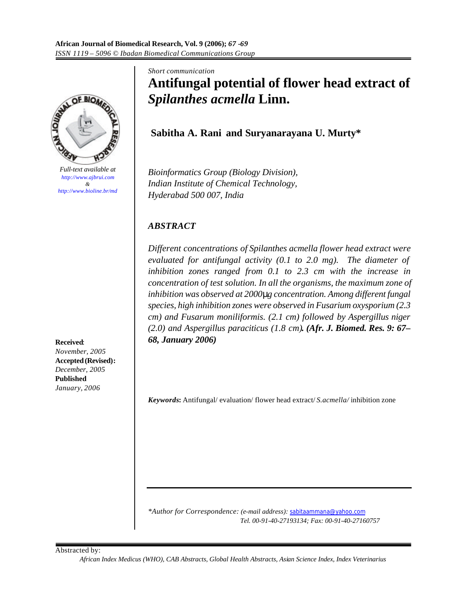

*Full-text available at http://www.ajbrui.com & http://www.bioline.br/md*

**Received**: *November, 2005* **Accepted (Revised):**  *December, 2005* **Published** *January, 2006*

*Short communication* **Antifungal potential of flower head extract of**  *Spilanthes acmella* **Linn.**

**Sabitha A. Rani and Suryanarayana U. Murty\***

*Bioinformatics Group (Biology Division), Indian Institute of Chemical Technology, Hyderabad 500 007, India*

# *ABSTRACT*

*Different concentrations of Spilanthes acmella flower head extract were evaluated for antifungal activity (0.1 to 2.0 mg). The diameter of inhibition zones ranged from 0.1 to 2.3 cm with the increase in concentration of test solution. In all the organisms, the maximum zone of inhibition was observed at 2000mg concentration. Among different fungal species, high inhibition zones were observed in Fusarium oxysporium (2.3 cm) and Fusarum moniliformis. (2.1 cm) followed by Aspergillus niger (2.0) and Aspergillus paraciticus (1.8 cm). (Afr. J. Biomed. Res. 9: 67– 68, January 2006)*

*Keywords***:** Antifungal/ evaluation/ flower head extract/ *S.acmella/* inhibition zone

*\*Author for Correspondence: (e-mail address):* sabitaammana@yahoo.com  *Tel. 00-91-40-27193134; Fax: 00-91-40-27160757*

Abstracted by:

*African Index Medicus (WHO), CAB Abstracts, Global Health Abstracts, Asian Science Index, Index Veterinarius*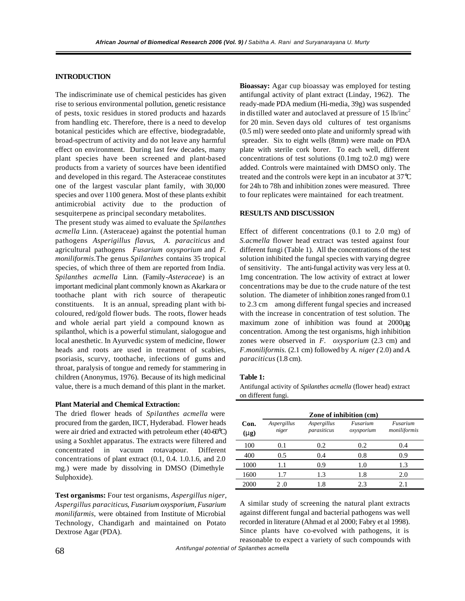## **INTRODUCTION**

The indiscriminate use of chemical pesticides has given rise to serious environmental pollution, genetic resistance of pests, toxic residues in stored products and hazards from handling etc. Therefore, there is a need to develop botanical pesticides which are effective, biodegradable, broad-spectrum of activity and do not leave any harmful effect on environment. During last few decades, many plant species have been screened and plant-based products from a variety of sources have been identified and developed in this regard. The Asteraceae constitutes one of the largest vascular plant family, with 30,000 species and over 1100 genera. Most of these plants exhibit antimicrobial activity due to the production of sesquiterpene as principal secondary metabolites.

The present study was aimed to evaluate the *Spilanthes acmella* Linn. (Asteraceae) against the potential human pathogens *Asperigillus flavus*, *A. paraciticus* and agricultural pathogens *Fusarium oxysporium* and *F. moniliformis*.The genus *Spilanthes* contains 35 tropical species, of which three of them are reported from India. *Spilanthes acmella* Linn. (Family-*Asteraceae*) is an important medicinal plant commonly known as Akarkara or toothache plant with rich source of therapeutic constituents. It is an annual, spreading plant with bicoloured, red/gold flower buds. The roots, flower heads and whole aerial part yield a compound known as spilanthol, which is a powerful stimulant, sialogogue and local anesthetic. In Ayurvedic system of medicine, flower heads and roots are used in treatment of scabies, psoriasis, scurvy, toothache, infections of gums and throat, paralysis of tongue and remedy for stammering in children (Anonymus, 1976). Because of its high medicinal value, there is a much demand of this plant in the market.

#### **Plant Material and Chemical Extraction:**

The dried flower heads of *Spilanthes acmella* were procured from the garden, IICT, Hyderabad. Flower heads were air dried and extracted with petroleum ether (40-60°C) using a Soxhlet apparatus. The extracts were filtered and concentrated in vacuum rotavapour. Different concentrations of plant extract (0.1, 0.4. 1.0.1.6, and 2.0 mg.) were made by dissolving in DMSO (Dimethyle Sulphoxide).

**Test organisms:** Four test organisms, *Aspergillus niger*, *Aspergillus paraciticus*, *Fusarium oxysporium, Fusarium monilifarmis*, were obtained from Institute of Microbial Technology, Chandigarh and maintained on Potato Dextrose Agar (PDA).

**Bioassay:** Agar cup bioassay was employed for testing antifungal activity of plant extract (Linday, 1962). The ready-made PDA medium (Hi-media, 39g) was suspended in distilled water and autoclaved at pressure of  $15$  lb/inc<sup>2</sup> for 20 min. Seven days old cultures of test organisms (0.5 ml) were seeded onto plate and uniformly spread with spreader. Six to eight wells (8mm) were made on PDA plate with sterile cork borer. To each well, different concentrations of test solutions (0.1mg to2.0 mg) were added. Controls were maintained with DMSO only. The treated and the controls were kept in an incubator at 37°C for 24h to 78h and inhibition zones were measured. Three to four replicates were maintained for each treatment.

## **RESULTS AND DISCUSSION**

Effect of different concentrations (0.1 to 2.0 mg) of *S.acmella* flower head extract was tested against four different fungi (Table 1). All the concentrations of the test solution inhibited the fungal species with varying degree of sensitivity. The anti-fungal activity was very less at 0. 1mg concentration. The low activity of extract at lower concentrations may be due to the crude nature of the test solution. The diameter of inhibition zones ranged from 0.1 to 2.3 cm among different fungal species and increased with the increase in concentration of test solution. The maximum zone of inhibition was found at 2000μg concentration. Among the test organisms, high inhibition zones were observed in *F. oxysporium* (2.3 cm) and *F.moniliformis.* (2.1 cm) followed by *A. niger (*2.0) and *A. paraciticus* (1.8 cm).

## **Table 1:**

Antifungal activity of *Spilanthes acmella* (flower head) extract on different fungi.

|                           | Zone of inhibition (cm) |                            |                        |                          |
|---------------------------|-------------------------|----------------------------|------------------------|--------------------------|
| Con.<br>(m <sub>E</sub> ) | Aspergillus<br>niger    | Aspergillus<br>parasiticus | Fusarium<br>oxysporium | Fusarium<br>moniliformis |
| 100                       | 0.1                     | 0.2                        | 0.2                    | 0.4                      |
| 400                       | 0.5                     | 0.4                        | 0.8                    | 0.9                      |
| 1000                      | 1.1                     | 0.9                        | 1.0                    | 1.3                      |
| 1600                      | 1.7                     | 1.3                        | 1.8                    | 2.0                      |
| 2000                      | 2.0                     | 1.8                        | 2.3                    | 2.1                      |

A similar study of screening the natural plant extracts against different fungal and bacterial pathogens was well recorded in literature (Ahmad et al 2000; Fabry et al 1998). Since plants have co-evolved with pathogens, it is reasonable to expect a variety of such compounds with

*Antifungal potential of Spilanthes acmella* 68